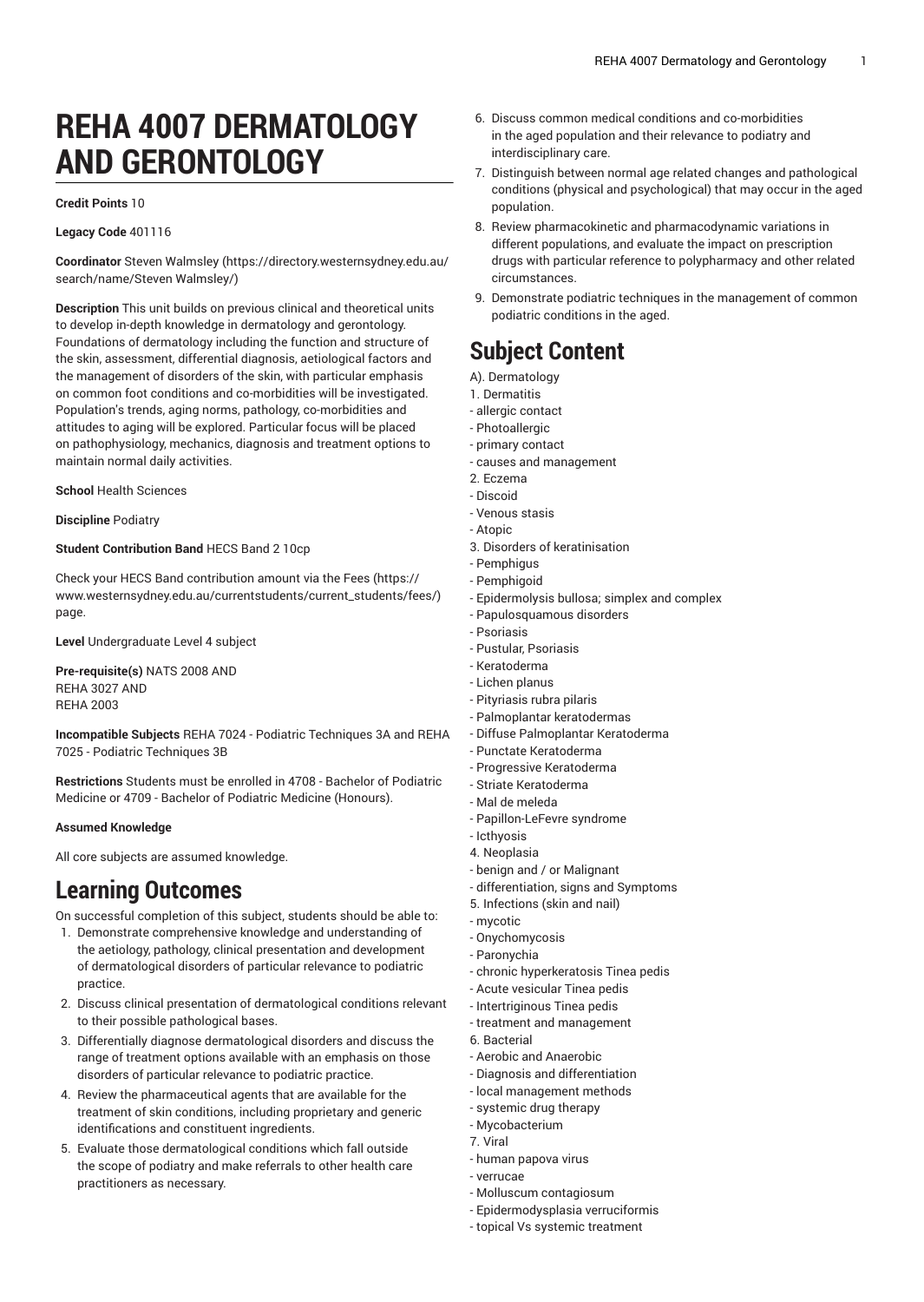# **REHA 4007 DERMATOLOGY AND GERONTOLOGY**

### **Credit Points** 10

#### **Legacy Code** 401116

**Coordinator** Steven [Walmsley \(https://directory.westernsydney.edu.au/](https://directory.westernsydney.edu.au/search/name/Steven Walmsley/) [search/name/Steven](https://directory.westernsydney.edu.au/search/name/Steven Walmsley/) Walmsley/)

**Description** This unit builds on previous clinical and theoretical units to develop in-depth knowledge in dermatology and gerontology. Foundations of dermatology including the function and structure of the skin, assessment, differential diagnosis, aetiological factors and the management of disorders of the skin, with particular emphasis on common foot conditions and co-morbidities will be investigated. Population's trends, aging norms, pathology, co-morbidities and attitudes to aging will be explored. Particular focus will be placed on pathophysiology, mechanics, diagnosis and treatment options to maintain normal daily activities.

**School** Health Sciences

**Discipline** Podiatry

### **Student Contribution Band** HECS Band 2 10cp

Check your HECS Band contribution amount via the [Fees \(https://](https://www.westernsydney.edu.au/currentstudents/current_students/fees/) [www.westernsydney.edu.au/currentstudents/current\\_students/fees/\)](https://www.westernsydney.edu.au/currentstudents/current_students/fees/) page.

**Level** Undergraduate Level 4 subject

**Pre-requisite(s)** [NATS](/search/?P=NATS%202008) 2008 AND [REHA](/search/?P=REHA%203027) 3027 AND [REHA](/search/?P=REHA%202003) 2003

**Incompatible Subjects** REHA 7024 - Podiatric Techniques 3A and REHA 7025 - Podiatric Techniques 3B

**Restrictions** Students must be enrolled in 4708 - Bachelor of Podiatric Medicine or 4709 - Bachelor of Podiatric Medicine (Honours).

### **Assumed Knowledge**

All core subjects are assumed knowledge.

# **Learning Outcomes**

On successful completion of this subject, students should be able to:

- 1. Demonstrate comprehensive knowledge and understanding of the aetiology, pathology, clinical presentation and development of dermatological disorders of particular relevance to podiatric practice.
- 2. Discuss clinical presentation of dermatological conditions relevant to their possible pathological bases.
- 3. Differentially diagnose dermatological disorders and discuss the range of treatment options available with an emphasis on those disorders of particular relevance to podiatric practice.
- 4. Review the pharmaceutical agents that are available for the treatment of skin conditions, including proprietary and generic identifications and constituent ingredients.
- 5. Evaluate those dermatological conditions which fall outside the scope of podiatry and make referrals to other health care practitioners as necessary.
- 6. Discuss common medical conditions and co-morbidities in the aged population and their relevance to podiatry and interdisciplinary care.
- 7. Distinguish between normal age related changes and pathological conditions (physical and psychological) that may occur in the aged population.
- 8. Review pharmacokinetic and pharmacodynamic variations in different populations, and evaluate the impact on prescription drugs with particular reference to polypharmacy and other related circumstances.
- 9. Demonstrate podiatric techniques in the management of common podiatric conditions in the aged.

# **Subject Content**

- A). Dermatology
- 1. Dermatitis
- allergic contact
- Photoallergic
- primary contact
- causes and management 2. Eczema
- Discoid
- 
- Venous stasis - Atopic
- 3. Disorders of keratinisation
- Pemphigus
- Pemphigoid
- Epidermolysis bullosa; simplex and complex
- Papulosquamous disorders
- Psoriasis
- Pustular, Psoriasis - Keratoderma
- Lichen planus
- Pityriasis rubra pilaris
- Palmoplantar keratodermas
- Diffuse Palmoplantar Keratoderma
- Punctate Keratoderma
- Progressive Keratoderma
- Striate Keratoderma
- Mal de meleda
- Papillon-LeFevre syndrome
- Icthyosis
- 4. Neoplasia
- benign and / or Malignant
- differentiation, signs and Symptoms
- 5. Infections (skin and nail)
- mycotic
- Onychomycosis - Paronychia
- chronic hyperkeratosis Tinea pedis
- Acute vesicular Tinea pedis
- Intertriginous Tinea pedis
- treatment and management
- 6. Bacterial
- Aerobic and Anaerobic
- Diagnosis and differentiation
- local management methods
- systemic drug therapy
- Mycobacterium
- 7. Viral
- human papova virus
- verrucae
- Molluscum contagiosum
- Epidermodysplasia verruciformis
- topical Vs systemic treatment